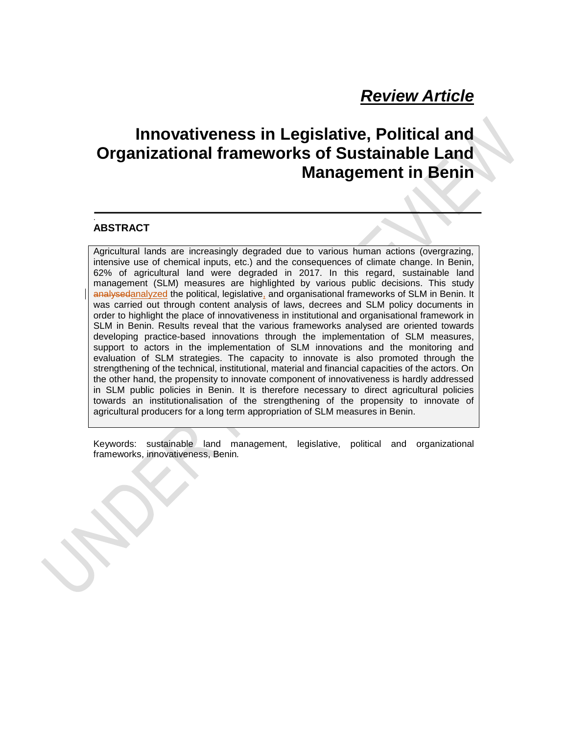# *Review Article*

# **Innovativeness in Legislative, Political and Organizational frameworks of Sustainable Land Management in Benin**

#### . **ABSTRACT**

Agricultural lands are increasingly degraded due to various human actions (overgrazing, intensive use of chemical inputs, etc.) and the consequences of climate change. In Benin, 62% of agricultural land were degraded in 2017. In this regard, sustainable land management (SLM) measures are highlighted by various public decisions. This study analysedanalyzed the political, legislative, and organisational frameworks of SLM in Benin. It was carried out through content analysis of laws, decrees and SLM policy documents in order to highlight the place of innovativeness in institutional and organisational framework in SLM in Benin. Results reveal that the various frameworks analysed are oriented towards developing practice-based innovations through the implementation of SLM measures, support to actors in the implementation of SLM innovations and the monitoring and evaluation of SLM strategies. The capacity to innovate is also promoted through the strengthening of the technical, institutional, material and financial capacities of the actors. On the other hand, the propensity to innovate component of innovativeness is hardly addressed in SLM public policies in Benin. It is therefore necessary to direct agricultural policies towards an institutionalisation of the strengthening of the propensity to innovate of agricultural producers for a long term appropriation of SLM measures in Benin.

Keywords: sustainable land management, legislative, political and organizational frameworks, innovativeness, Benin*.*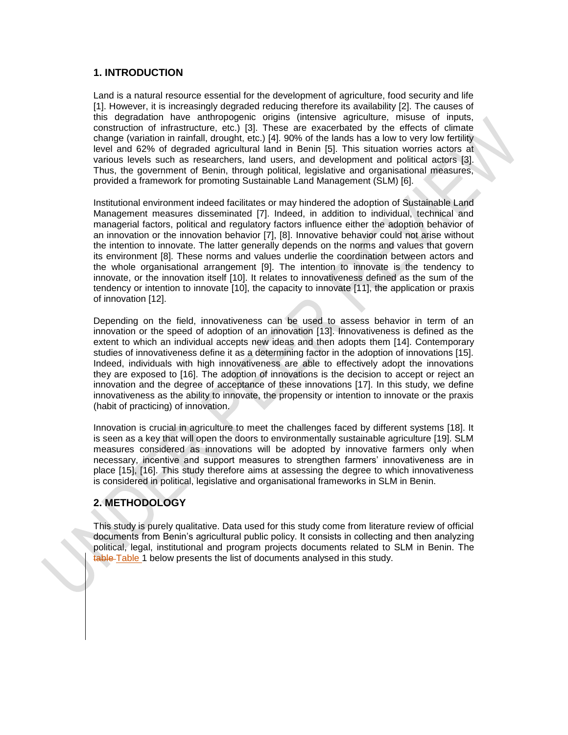#### **1. INTRODUCTION**

Land is a natural resource essential for the development of agriculture, food security and life [1]. However, it is increasingly degraded reducing therefore its availability [2]. The causes of this degradation have anthropogenic origins (intensive agriculture, misuse of inputs, construction of infrastructure, etc.) [3]. These are exacerbated by the effects of climate change (variation in rainfall, drought, etc.) [4]. 90% of the lands has a low to very low fertility level and 62% of degraded agricultural land in Benin [5]. This situation worries actors at various levels such as researchers, land users, and development and political actors [3]. Thus, the government of Benin, through political, legislative and organisational measures, provided a framework for promoting Sustainable Land Management (SLM) [6].

Institutional environment indeed facilitates or may hindered the adoption of Sustainable Land Management measures disseminated [7]. Indeed, in addition to individual, technical and managerial factors, political and regulatory factors influence either the adoption behavior of an innovation or the innovation behavior [7], [8]. Innovative behavior could not arise without the intention to innovate. The latter generally depends on the norms and values that govern its environment [8]. These norms and values underlie the coordination between actors and the whole organisational arrangement [9]. The intention to innovate is the tendency to innovate, or the innovation itself [10]. It relates to innovativeness defined as the sum of the tendency or intention to innovate [10], the capacity to innovate [11], the application or praxis of innovation [12].

Depending on the field, innovativeness can be used to assess behavior in term of an innovation or the speed of adoption of an innovation [13]. Innovativeness is defined as the extent to which an individual accepts new ideas and then adopts them [14]. Contemporary studies of innovativeness define it as a determining factor in the adoption of innovations [15]. Indeed, individuals with high innovativeness are able to effectively adopt the innovations they are exposed to [16]. The adoption of innovations is the decision to accept or reject an innovation and the degree of acceptance of these innovations [17]. In this study, we define innovativeness as the ability to innovate, the propensity or intention to innovate or the praxis (habit of practicing) of innovation.

Innovation is crucial in agriculture to meet the challenges faced by different systems [18]. It is seen as a key that will open the doors to environmentally sustainable agriculture [19]. SLM measures considered as innovations will be adopted by innovative farmers only when necessary, incentive and support measures to strengthen farmers' innovativeness are in place [15], [16]. This study therefore aims at assessing the degree to which innovativeness is considered in political, legislative and organisational frameworks in SLM in Benin.

### **2. METHODOLOGY**

This study is purely qualitative. Data used for this study come from literature review of official documents from Benin's agricultural public policy. It consists in collecting and then analyzing political, legal, institutional and program projects documents related to SLM in Benin. The table Table 1 below presents the list of documents analysed in this study.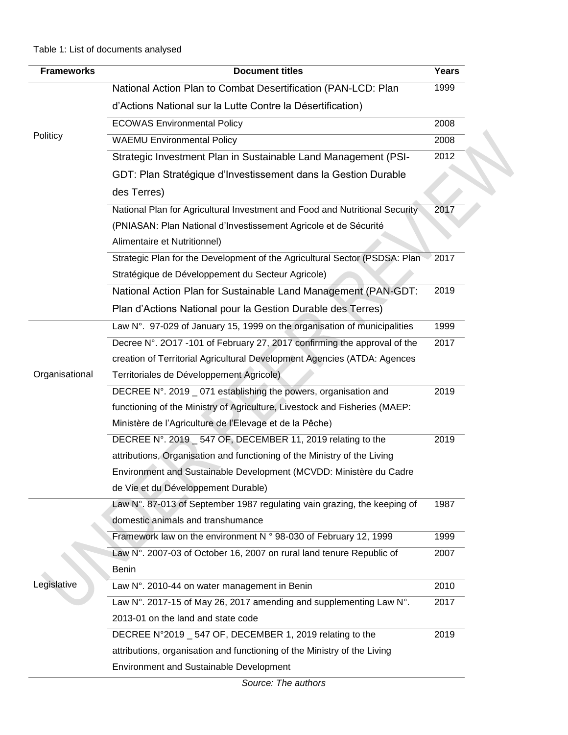| <b>Frameworks</b> | <b>Document titles</b>                                                      | Years |
|-------------------|-----------------------------------------------------------------------------|-------|
|                   | National Action Plan to Combat Desertification (PAN-LCD: Plan               | 1999  |
|                   | d'Actions National sur la Lutte Contre la Désertification)                  |       |
|                   | <b>ECOWAS Environmental Policy</b>                                          | 2008  |
| Politicy          | <b>WAEMU Environmental Policy</b>                                           | 2008  |
|                   | Strategic Investment Plan in Sustainable Land Management (PSI-              | 2012  |
|                   | GDT: Plan Stratégique d'Investissement dans la Gestion Durable              |       |
|                   | des Terres)                                                                 |       |
|                   | National Plan for Agricultural Investment and Food and Nutritional Security | 2017  |
|                   | (PNIASAN: Plan National d'Investissement Agricole et de Sécurité            |       |
|                   | Alimentaire et Nutritionnel)                                                |       |
|                   | Strategic Plan for the Development of the Agricultural Sector (PSDSA: Plan  | 2017  |
|                   | Stratégique de Développement du Secteur Agricole)                           |       |
|                   | National Action Plan for Sustainable Land Management (PAN-GDT:              | 2019  |
|                   | Plan d'Actions National pour la Gestion Durable des Terres)                 |       |
|                   | Law N°. 97-029 of January 15, 1999 on the organisation of municipalities    | 1999  |
|                   | Decree N°. 2017 -101 of February 27, 2017 confirming the approval of the    | 2017  |
|                   | creation of Territorial Agricultural Development Agencies (ATDA: Agences    |       |
| Organisational    | Territoriales de Développement Agricole)                                    |       |
|                   | DECREE N°. 2019 _ 071 establishing the powers, organisation and             | 2019  |
|                   | functioning of the Ministry of Agriculture, Livestock and Fisheries (MAEP:  |       |
|                   | Ministère de l'Agriculture de l'Elevage et de la Pêche)                     |       |
|                   | DECREE N°. 2019 _ 547 OF, DECEMBER 11, 2019 relating to the                 | 2019  |
|                   | attributions, Organisation and functioning of the Ministry of the Living    |       |
|                   | Environment and Sustainable Development (MCVDD: Ministère du Cadre          |       |
|                   | de Vie et du Développement Durable)                                         |       |
|                   | Law N°. 87-013 of September 1987 regulating vain grazing, the keeping of    | 1987  |
|                   | domestic animals and transhumance                                           |       |
|                   | Framework law on the environment N ° 98-030 of February 12, 1999            | 1999  |
|                   | Law N°. 2007-03 of October 16, 2007 on rural land tenure Republic of        | 2007  |
|                   | Benin                                                                       |       |
| Legislative       | Law N°. 2010-44 on water management in Benin                                | 2010  |
|                   | Law N°. 2017-15 of May 26, 2017 amending and supplementing Law N°.          | 2017  |
|                   | 2013-01 on the land and state code                                          |       |
|                   | DECREE N°2019 _ 547 OF, DECEMBER 1, 2019 relating to the                    | 2019  |
|                   | attributions, organisation and functioning of the Ministry of the Living    |       |
|                   | <b>Environment and Sustainable Development</b>                              |       |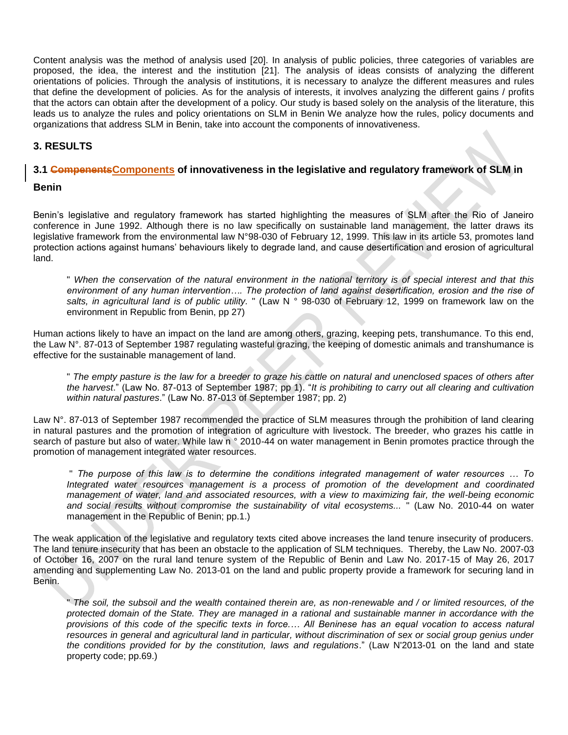Content analysis was the method of analysis used [20]. In analysis of public policies, three categories of variables are proposed, the idea, the interest and the institution [21]. The analysis of ideas consists of analyzing the different orientations of policies. Through the analysis of institutions, it is necessary to analyze the different measures and rules that define the development of policies. As for the analysis of interests, it involves analyzing the different gains / profits that the actors can obtain after the development of a policy. Our study is based solely on the analysis of the literature, this leads us to analyze the rules and policy orientations on SLM in Benin We analyze how the rules, policy documents and organizations that address SLM in Benin, take into account the components of innovativeness.

# **3. RESULTS**

#### **3.1 CompenentsComponents of innovativeness in the legislative and regulatory framework of SLM in**

#### **Benin**

Benin's legislative and regulatory framework has started highlighting the measures of SLM after the Rio of Janeiro conference in June 1992. Although there is no law specifically on sustainable land management, the latter draws its legislative framework from the environmental law N°98-030 of February 12, 1999. This law in its article 53, promotes land protection actions against humans' behaviours likely to degrade land, and cause desertification and erosion of agricultural land.

" *When the conservation of the natural environment in the national territory is of special interest and that this environment of any human intervention…. The protection of land against desertification, erosion and the rise of salts, in agricultural land is of public utility.* " (Law N ° 98-030 of February 12, 1999 on framework law on the environment in Republic from Benin, pp 27)

Human actions likely to have an impact on the land are among others, grazing, keeping pets, transhumance. To this end, the Law N°. 87-013 of September 1987 regulating wasteful grazing, the keeping of domestic animals and transhumance is effective for the sustainable management of land.

" *The empty pasture is the law for a breeder to graze his cattle on natural and unenclosed spaces of others after the harvest*." (Law No. 87-013 of September 1987; pp 1). "*It is prohibiting to carry out all clearing and cultivation within natural pastures*." (Law No. 87-013 of September 1987; pp. 2)

Law N°. 87-013 of September 1987 recommended the practice of SLM measures through the prohibition of land clearing in natural pastures and the promotion of integration of agriculture with livestock. The breeder, who grazes his cattle in search of pasture but also of water. While law n ° 2010-44 on water management in Benin promotes practice through the promotion of management integrated water resources.

" *The purpose of this law is to determine the conditions integrated management of water resources … To Integrated water resources management is a process of promotion of the development and coordinated management of water, land and associated resources, with a view to maximizing fair, the well-being economic and social results without compromise the sustainability of vital ecosystems...* " (Law No. 2010-44 on water management in the Republic of Benin; pp.1.)

The weak application of the legislative and regulatory texts cited above increases the land tenure insecurity of producers. The land tenure insecurity that has been an obstacle to the application of SLM techniques. Thereby, the Law No. 2007-03 of October 16, 2007 on the rural land tenure system of the Republic of Benin and Law No. 2017-15 of May 26, 2017 amending and supplementing Law No. 2013-01 on the land and public property provide a framework for securing land in Benin.

" *The soil, the subsoil and the wealth contained therein are, as non-renewable and / or limited resources, of the protected domain of the State. They are managed in a rational and sustainable manner in accordance with the provisions of this code of the specific texts in force.… All Beninese has an equal vocation to access natural resources in general and agricultural land in particular, without discrimination of sex or social group genius under the conditions provided for by the constitution, laws and regulations*." (Law N'2013-01 on the land and state property code; pp.69.)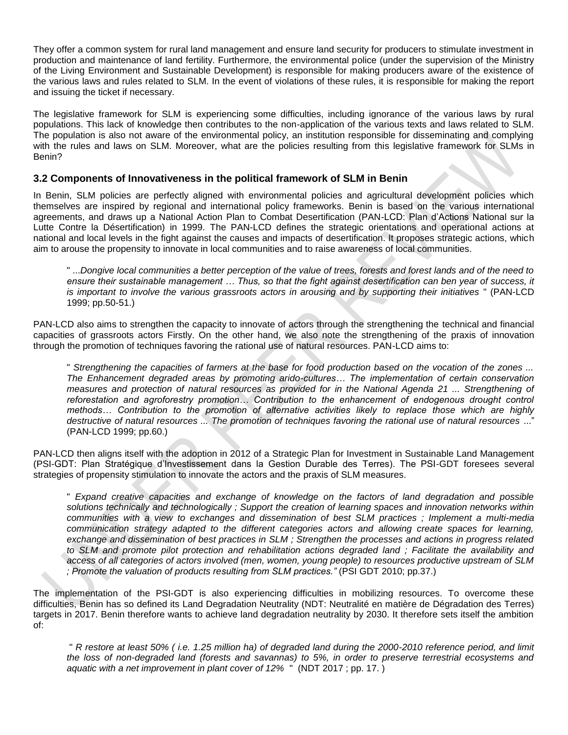They offer a common system for rural land management and ensure land security for producers to stimulate investment in production and maintenance of land fertility. Furthermore, the environmental police (under the supervision of the Ministry of the Living Environment and Sustainable Development) is responsible for making producers aware of the existence of the various laws and rules related to SLM. In the event of violations of these rules, it is responsible for making the report and issuing the ticket if necessary.

The legislative framework for SLM is experiencing some difficulties, including ignorance of the various laws by rural populations. This lack of knowledge then contributes to the non-application of the various texts and laws related to SLM. The population is also not aware of the environmental policy, an institution responsible for disseminating and complying with the rules and laws on SLM. Moreover, what are the policies resulting from this legislative framework for SLMs in Benin?

### **3.2 Components of Innovativeness in the political framework of SLM in Benin**

In Benin, SLM policies are perfectly aligned with environmental policies and agricultural development policies which themselves are inspired by regional and international policy frameworks. Benin is based on the various international agreements, and draws up a National Action Plan to Combat Desertification (PAN-LCD: Plan d'Actions National sur la Lutte Contre la Désertification) in 1999. The PAN-LCD defines the strategic orientations and operational actions at national and local levels in the fight against the causes and impacts of desertification. It proposes strategic actions, which aim to arouse the propensity to innovate in local communities and to raise awareness of local communities.

" ...*Dongive local communities a better perception of the value of trees, forests and forest lands and of the need to ensure their sustainable management … Thus, so that the fight against desertification can ben year of success, it is important to involve the various grassroots actors in arousing and by supporting their initiatives* " (PAN-LCD 1999; pp.50-51.)

PAN-LCD also aims to strengthen the capacity to innovate of actors through the strengthening the technical and financial capacities of grassroots actors Firstly. On the other hand, we also note the strengthening of the praxis of innovation through the promotion of techniques favoring the rational use of natural resources. PAN-LCD aims to:

" *Strengthening the capacities of farmers at the base for food production based on the vocation of the zones ... The Enhancement degraded areas by promoting arido-cultures… The implementation of certain conservation measures and protection of natural resources as provided for in the National Agenda 21 ... Strengthening of reforestation and agroforestry promotion… Contribution to the enhancement of endogenous drought control methods… Contribution to the promotion of alternative activities likely to replace those which are highly destructive of natural resources ... The promotion of techniques favoring the rational use of natural resources* ..." (PAN-LCD 1999; pp.60.)

PAN-LCD then aligns itself with the adoption in 2012 of a Strategic Plan for Investment in Sustainable Land Management (PSI-GDT: Plan Stratégique d'Investissement dans la Gestion Durable des Terres). The PSI-GDT foresees several strategies of propensity stimulation to innovate the actors and the praxis of SLM measures.

" *Expand creative capacities and exchange of knowledge on the factors of land degradation and possible solutions technically and technologically ; Support the creation of learning spaces and innovation networks within communities with a view to exchanges and dissemination of best SLM practices ; Implement a multi-media communication strategy adapted to the different categories actors and allowing create spaces for learning, exchange and dissemination of best practices in SLM ; Strengthen the processes and actions in progress related*  to SLM and promote pilot protection and rehabilitation actions degraded land ; Facilitate the availability and *access of all categories of actors involved (men, women, young people) to resources productive upstream of SLM ; Promote the valuation of products resulting from SLM practices."* (PSI GDT 2010; pp.37.)

The implementation of the PSI-GDT is also experiencing difficulties in mobilizing resources. To overcome these difficulties, Benin has so defined its Land Degradation Neutrality (NDT: Neutralité en matière de Dégradation des Terres) targets in 2017. Benin therefore wants to achieve land degradation neutrality by 2030. It therefore sets itself the ambition of:

" *R restore at least 50% ( i.e. 1.25 million ha) of degraded land during the 2000-2010 reference period, and limit the loss of non-degraded land (forests and savannas) to 5%, in order to preserve terrestrial ecosystems and aquatic with a net improvement in plant cover of 12%* " (NDT 2017 ; pp. 17. )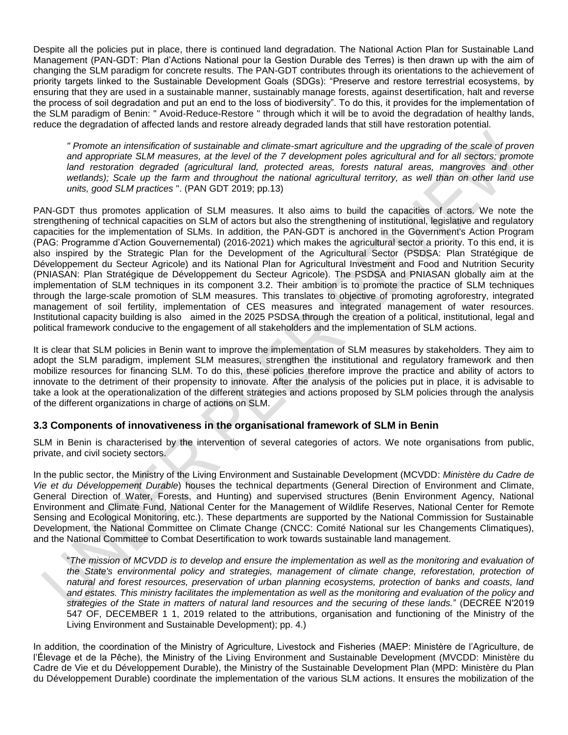Despite all the policies put in place, there is continued land degradation. The National Action Plan for Sustainable Land Management (PAN-GDT: Plan d'Actions National pour la Gestion Durable des Terres) is then drawn up with the aim of changing the SLM paradigm for concrete results. The PAN-GDT contributes through its orientations to the achievement of priority targets linked to the Sustainable Development Goals (SDGs): "Preserve and restore terrestrial ecosystems, by ensuring that they are used in a sustainable manner, sustainably manage forests, against desertification, halt and reverse the process of soil degradation and put an end to the loss of biodiversity". To do this, it provides for the implementation of the SLM paradigm of Benin: " Avoid-Reduce-Restore " through which it will be to avoid the degradation of healthy lands, reduce the degradation of affected lands and restore already degraded lands that still have restoration potential.

*" Promote an intensification of sustainable and climate-smart agriculture and the upgrading of the scale of proven*  and appropriate SLM measures, at the level of the 7 development poles agricultural and for all sectors; promote land restoration degraded (agricultural land, protected areas, forests natural areas, mangroves and other *wetlands); Scale up the farm and throughout the national agricultural territory, as well than on other land use units, good SLM practices* ". (PAN GDT 2019; pp.13)

PAN-GDT thus promotes application of SLM measures. It also aims to build the capacities of actors. We note the strengthening of technical capacities on SLM of actors but also the strengthening of institutional, legislative and regulatory capacities for the implementation of SLMs. In addition, the PAN-GDT is anchored in the Government's Action Program (PAG: Programme d'Action Gouvernemental) (2016-2021) which makes the agricultural sector a priority. To this end, it is also inspired by the Strategic Plan for the Development of the Agricultural Sector (PSDSA: Plan Stratégique de Développement du Secteur Agricole) and its National Plan for Agricultural Investment and Food and Nutrition Security (PNIASAN: Plan Stratégique de Développement du Secteur Agricole). The PSDSA and PNIASAN globally aim at the implementation of SLM techniques in its component 3.2. Their ambition is to promote the practice of SLM techniques through the large-scale promotion of SLM measures. This translates to objective of promoting agroforestry, integrated management of soil fertility, implementation of CES measures and integrated management of water resources. Institutional capacity building is also aimed in the 2025 PSDSA through the creation of a political, institutional, legal and political framework conducive to the engagement of all stakeholders and the implementation of SLM actions.

It is clear that SLM policies in Benin want to improve the implementation of SLM measures by stakeholders. They aim to adopt the SLM paradigm, implement SLM measures, strengthen the institutional and regulatory framework and then mobilize resources for financing SLM. To do this, these policies therefore improve the practice and ability of actors to innovate to the detriment of their propensity to innovate. After the analysis of the policies put in place, it is advisable to take a look at the operationalization of the different strategies and actions proposed by SLM policies through the analysis of the different organizations in charge of actions on SLM.

#### **3.3 Components of innovativeness in the organisational framework of SLM in Benin**

SLM in Benin is characterised by the intervention of several categories of actors. We note organisations from public, private, and civil society sectors.

In the public sector, the Ministry of the Living Environment and Sustainable Development (MCVDD: *Ministère du Cadre de Vie et du Développement Durable*) houses the technical departments (General Direction of Environment and Climate, General Direction of Water, Forests, and Hunting) and supervised structures (Benin Environment Agency, National Environment and Climate Fund, National Center for the Management of Wildlife Reserves, National Center for Remote Sensing and Ecological Monitoring, etc.). These departments are supported by the National Commission for Sustainable Development, the National Committee on Climate Change (CNCC: Comité National sur les Changements Climatiques), and the National Committee to Combat Desertification to work towards sustainable land management.

"*The mission of MCVDD is to develop and ensure the implementation as well as the monitoring and evaluation of the State's environmental policy and strategies, management of climate change, reforestation, protection of natural and forest resources, preservation of urban planning ecosystems, protection of banks and coasts, land and estates. This ministry facilitates the implementation as well as the monitoring and evaluation of the policy and strategies of the State in matters of natural land resources and the securing of these lands.*" (DECREE N'2019 547 OF, DECEMBER 1 1, 2019 related to the attributions, organisation and functioning of the Ministry of the Living Environment and Sustainable Development); pp. 4.)

In addition, the coordination of the Ministry of Agriculture, Livestock and Fisheries (MAEP: Ministère de l'Agriculture, de l'Élevage et de la Pêche), the Ministry of the Living Environment and Sustainable Development (MVCDD: Ministère du Cadre de Vie et du Développement Durable), the Ministry of the Sustainable Development Plan (MPD: Ministère du Plan du Développement Durable) coordinate the implementation of the various SLM actions. It ensures the mobilization of the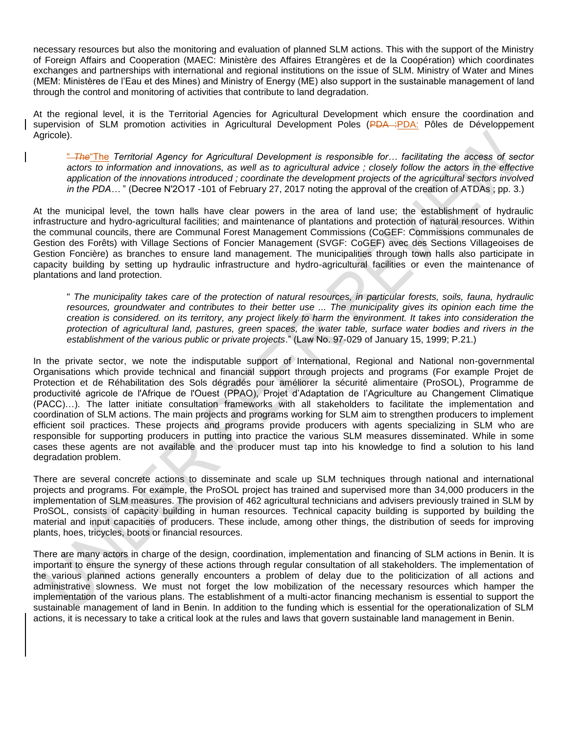necessary resources but also the monitoring and evaluation of planned SLM actions. This with the support of the Ministry of Foreign Affairs and Cooperation (MAEC: Ministère des Affaires Etrangères et de la Coopération) which coordinates exchanges and partnerships with international and regional institutions on the issue of SLM. Ministry of Water and Mines (MEM: Ministères de l'Eau et des Mines) and Ministry of Energy (ME) also support in the sustainable management of land through the control and monitoring of activities that contribute to land degradation.

At the regional level, it is the Territorial Agencies for Agricultural Development which ensure the coordination and supervision of SLM promotion activities in Agricultural Development Poles (PDA : PDA: Pôles de Développement Agricole).

" *The*"The *Territorial Agency for Agricultural Development is responsible for… facilitating the access of sector actors to information and innovations, as well as to agricultural advice ; closely follow the actors in the effective application of the innovations introduced ; coordinate the development projects of the agricultural sectors involved in the PDA…* " (Decree N'2O17 -101 of February 27, 2017 noting the approval of the creation of ATDAs; pp. 3.)

At the municipal level, the town halls have clear powers in the area of land use; the establishment of hydraulic infrastructure and hydro-agricultural facilities; and maintenance of plantations and protection of natural resources. Within the communal councils, there are Communal Forest Management Commissions (CoGEF: Commissions communales de Gestion des Forêts) with Village Sections of Foncier Management (SVGF: CoGEF) avec des Sections Villageoises de Gestion Foncière) as branches to ensure land management. The municipalities through town halls also participate in capacity building by setting up hydraulic infrastructure and hydro-agricultural facilities or even the maintenance of plantations and land protection.

" *The municipality takes care of the protection of natural resources, in particular forests, soils, fauna, hydraulic*  resources, groundwater and contributes to their better use ... The municipality gives its opinion each time the *creation is considered. on its territory, any project likely to harm the environment. It takes into consideration the protection of agricultural land, pastures, green spaces, the water table, surface water bodies and rivers in the establishment of the various public or private projects*." (Law No. 97-029 of January 15, 1999; P.21.)

In the private sector, we note the indisputable support of International, Regional and National non-governmental Organisations which provide technical and financial support through projects and programs (For example Projet de Protection et de Réhabilitation des Sols dégradés pour améliorer la sécurité alimentaire (ProSOL), Programme de productivité agricole de l'Afrique de l'Ouest (PPAO), Projet d'Adaptation de l'Agriculture au Changement Climatique (PACC)…). The latter initiate consultation frameworks with all stakeholders to facilitate the implementation and coordination of SLM actions. The main projects and programs working for SLM aim to strengthen producers to implement efficient soil practices. These projects and programs provide producers with agents specializing in SLM who are responsible for supporting producers in putting into practice the various SLM measures disseminated. While in some cases these agents are not available and the producer must tap into his knowledge to find a solution to his land degradation problem.

There are several concrete actions to disseminate and scale up SLM techniques through national and international projects and programs. For example, the ProSOL project has trained and supervised more than 34,000 producers in the implementation of SLM measures. The provision of 462 agricultural technicians and advisers previously trained in SLM by ProSOL, consists of capacity building in human resources. Technical capacity building is supported by building the material and input capacities of producers. These include, among other things, the distribution of seeds for improving plants, hoes, tricycles, boots or financial resources.

There are many actors in charge of the design, coordination, implementation and financing of SLM actions in Benin. It is important to ensure the synergy of these actions through regular consultation of all stakeholders. The implementation of the various planned actions generally encounters a problem of delay due to the politicization of all actions and administrative slowness. We must not forget the low mobilization of the necessary resources which hamper the implementation of the various plans. The establishment of a multi-actor financing mechanism is essential to support the sustainable management of land in Benin. In addition to the funding which is essential for the operationalization of SLM actions, it is necessary to take a critical look at the rules and laws that govern sustainable land management in Benin.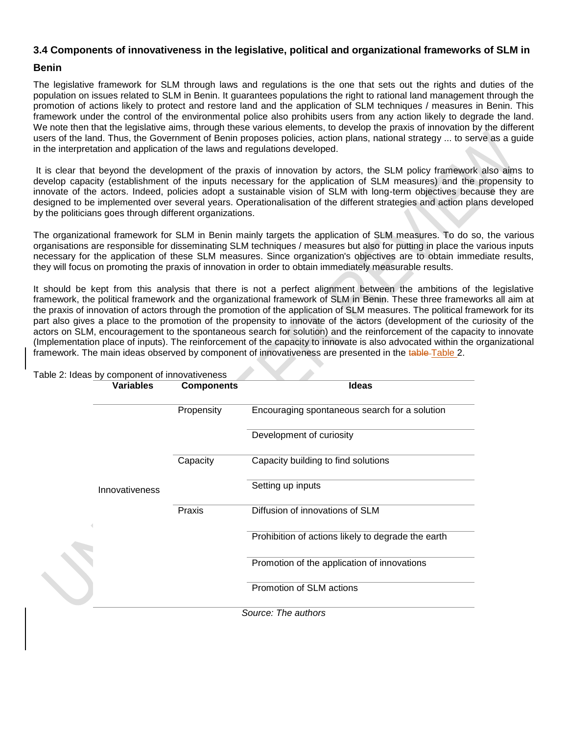# **3.4 Components of innovativeness in the legislative, political and organizational frameworks of SLM in**

### **Benin**

The legislative framework for SLM through laws and regulations is the one that sets out the rights and duties of the population on issues related to SLM in Benin. It guarantees populations the right to rational land management through the promotion of actions likely to protect and restore land and the application of SLM techniques / measures in Benin. This framework under the control of the environmental police also prohibits users from any action likely to degrade the land. We note then that the legislative aims, through these various elements, to develop the praxis of innovation by the different users of the land. Thus, the Government of Benin proposes policies, action plans, national strategy ... to serve as a guide in the interpretation and application of the laws and regulations developed.

It is clear that beyond the development of the praxis of innovation by actors, the SLM policy framework also aims to develop capacity (establishment of the inputs necessary for the application of SLM measures) and the propensity to innovate of the actors. Indeed, policies adopt a sustainable vision of SLM with long-term objectives because they are designed to be implemented over several years. Operationalisation of the different strategies and action plans developed by the politicians goes through different organizations.

The organizational framework for SLM in Benin mainly targets the application of SLM measures. To do so, the various organisations are responsible for disseminating SLM techniques / measures but also for putting in place the various inputs necessary for the application of these SLM measures. Since organization's objectives are to obtain immediate results, they will focus on promoting the praxis of innovation in order to obtain immediately measurable results.

It should be kept from this analysis that there is not a perfect alignment between the ambitions of the legislative framework, the political framework and the organizational framework of SLM in Benin. These three frameworks all aim at the praxis of innovation of actors through the promotion of the application of SLM measures. The political framework for its part also gives a place to the promotion of the propensity to innovate of the actors (development of the curiosity of the actors on SLM, encouragement to the spontaneous search for solution) and the reinforcement of the capacity to innovate (Implementation place of inputs). The reinforcement of the capacity to innovate is also advocated within the organizational framework. The main ideas observed by component of innovativeness are presented in the table-Table 2.

| <b>Variables</b> | <b>Components</b>   | <b>Ideas</b>                                       |  |
|------------------|---------------------|----------------------------------------------------|--|
|                  | Propensity          | Encouraging spontaneous search for a solution      |  |
|                  |                     | Development of curiosity                           |  |
|                  | Capacity            | Capacity building to find solutions                |  |
| Innovativeness   |                     | Setting up inputs                                  |  |
|                  | Praxis              | Diffusion of innovations of SLM                    |  |
|                  |                     | Prohibition of actions likely to degrade the earth |  |
|                  |                     | Promotion of the application of innovations        |  |
|                  |                     | Promotion of SLM actions                           |  |
|                  | Source: The authors |                                                    |  |

Table 2: Ideas by component of innovativeness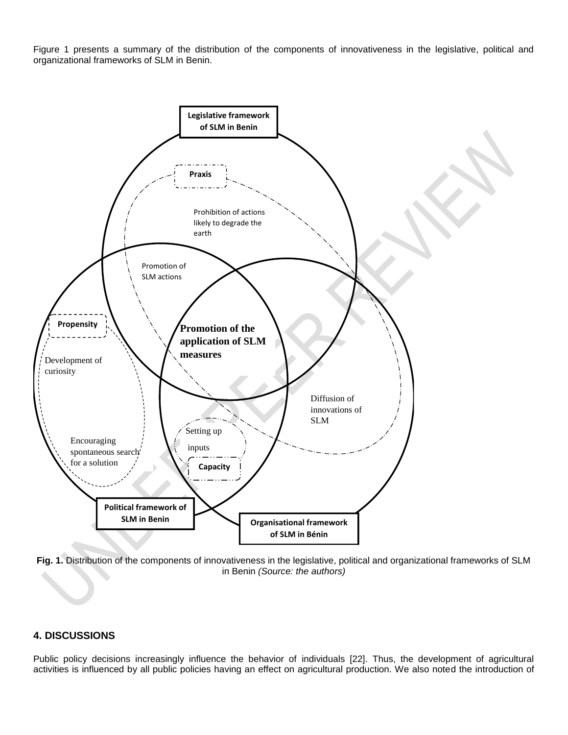Figure 1 presents a summary of the distribution of the components of innovativeness in the legislative, political and organizational frameworks of SLM in Benin.



**Fig. 1.** Distribution of the components of innovativeness in the legislative, political and organizational frameworks of SLM in Benin *(Source: the authors)*

#### **4. DISCUSSIONS**

Public policy decisions increasingly influence the behavior of individuals [22]. Thus, the development of agricultural activities is influenced by all public policies having an effect on agricultural production. We also noted the introduction of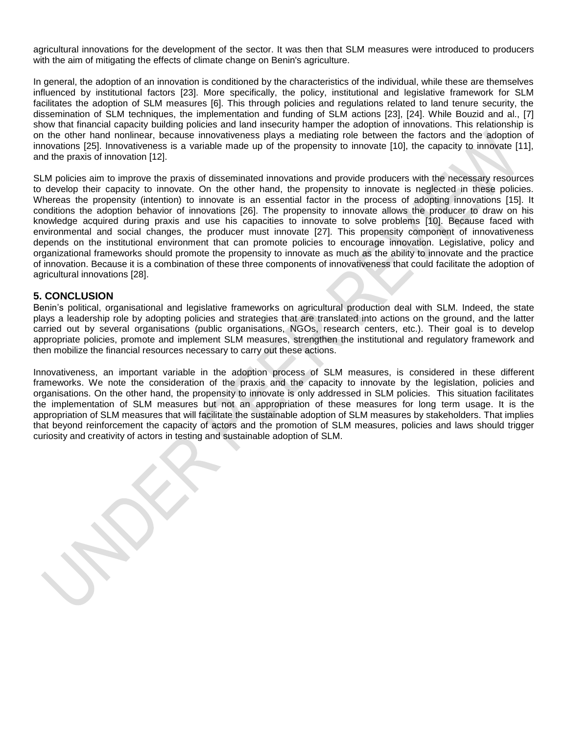agricultural innovations for the development of the sector. It was then that SLM measures were introduced to producers with the aim of mitigating the effects of climate change on Benin's agriculture.

In general, the adoption of an innovation is conditioned by the characteristics of the individual, while these are themselves influenced by institutional factors [23]. More specifically, the policy, institutional and legislative framework for SLM facilitates the adoption of SLM measures [6]. This through policies and regulations related to land tenure security, the dissemination of SLM techniques, the implementation and funding of SLM actions [23], [24]. While Bouzid and al., [7] show that financial capacity building policies and land insecurity hamper the adoption of innovations. This relationship is on the other hand nonlinear, because innovativeness plays a mediating role between the factors and the adoption of innovations [25]. Innovativeness is a variable made up of the propensity to innovate [10], the capacity to innovate [11], and the praxis of innovation [12].

SLM policies aim to improve the praxis of disseminated innovations and provide producers with the necessary resources to develop their capacity to innovate. On the other hand, the propensity to innovate is neglected in these policies. Whereas the propensity (intention) to innovate is an essential factor in the process of adopting innovations [15]. It conditions the adoption behavior of innovations [26]. The propensity to innovate allows the producer to draw on his knowledge acquired during praxis and use his capacities to innovate to solve problems [10]. Because faced with environmental and social changes, the producer must innovate [27]. This propensity component of innovativeness depends on the institutional environment that can promote policies to encourage innovation. Legislative, policy and organizational frameworks should promote the propensity to innovate as much as the ability to innovate and the practice of innovation. Because it is a combination of these three components of innovativeness that could facilitate the adoption of agricultural innovations [28].

#### **5. CONCLUSION**

Benin's political, organisational and legislative frameworks on agricultural production deal with SLM. Indeed, the state plays a leadership role by adopting policies and strategies that are translated into actions on the ground, and the latter carried out by several organisations (public organisations, NGOs, research centers, etc.). Their goal is to develop appropriate policies, promote and implement SLM measures, strengthen the institutional and regulatory framework and then mobilize the financial resources necessary to carry out these actions.

Innovativeness, an important variable in the adoption process of SLM measures, is considered in these different frameworks. We note the consideration of the praxis and the capacity to innovate by the legislation, policies and organisations. On the other hand, the propensity to innovate is only addressed in SLM policies. This situation facilitates the implementation of SLM measures but not an appropriation of these measures for long term usage. It is the appropriation of SLM measures that will facilitate the sustainable adoption of SLM measures by stakeholders. That implies that beyond reinforcement the capacity of actors and the promotion of SLM measures, policies and laws should trigger curiosity and creativity of actors in testing and sustainable adoption of SLM.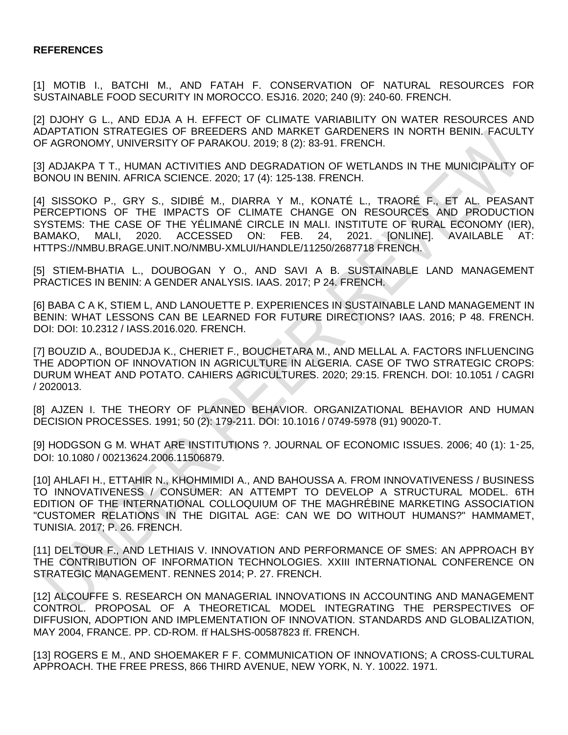#### **REFERENCES**

[1] MOTIB I., BATCHI M., AND FATAH F. CONSERVATION OF NATURAL RESOURCES FOR SUSTAINABLE FOOD SECURITY IN MOROCCO. ESJ16. 2020; 240 (9): 240-60. FRENCH.

[2] DJOHY G L., AND EDJA A H. EFFECT OF CLIMATE VARIABILITY ON WATER RESOURCES AND ADAPTATION STRATEGIES OF BREEDERS AND MARKET GARDENERS IN NORTH BENIN. FACULTY OF AGRONOMY, UNIVERSITY OF PARAKOU. 2019; 8 (2): 83-91. FRENCH.

[3] ADJAKPA T T., HUMAN ACTIVITIES AND DEGRADATION OF WETLANDS IN THE MUNICIPALITY OF BONOU IN BENIN. AFRICA SCIENCE. 2020; 17 (4): 125-138. FRENCH.

[4] SISSOKO P., GRY S., SIDIBÉ M., DIARRA Y M., KONATÉ L., TRAORÉ F., ET AL. PEASANT PERCEPTIONS OF THE IMPACTS OF CLIMATE CHANGE ON RESOURCES AND PRODUCTION SYSTEMS: THE CASE OF THE YÉLIMANÉ CIRCLE IN MALI. INSTITUTE OF RURAL ECONOMY (IER), BAMAKO, MALI, 2020. ACCESSED ON: FEB. 24, 2021. [ONLINE]. AVAILABLE AT: HTTPS://NMBU.BRAGE.UNIT.NO/NMBU-XMLUI/HANDLE/11250/2687718 FRENCH.

[5] STIEM-BHATIA L., DOUBOGAN Y O., AND SAVI A B. SUSTAINABLE LAND MANAGEMENT PRACTICES IN BENIN: A GENDER ANALYSIS. IAAS. 2017; P 24. FRENCH.

[6] BABA C A K, STIEM L, AND LANOUETTE P. EXPERIENCES IN SUSTAINABLE LAND MANAGEMENT IN BENIN: WHAT LESSONS CAN BE LEARNED FOR FUTURE DIRECTIONS? IAAS. 2016; P 48. FRENCH. DOI: DOI: 10.2312 / IASS.2016.020. FRENCH.

[7] BOUZID A., BOUDEDJA K., CHERIET F., BOUCHETARA M., AND MELLAL A. FACTORS INFLUENCING THE ADOPTION OF INNOVATION IN AGRICULTURE IN ALGERIA. CASE OF TWO STRATEGIC CROPS: DURUM WHEAT AND POTATO. CAHIERS AGRICULTURES. 2020; 29:15. FRENCH. DOI: 10.1051 / CAGRI / 2020013.

[8] AJZEN I. THE THEORY OF PLANNED BEHAVIOR. ORGANIZATIONAL BEHAVIOR AND HUMAN DECISION PROCESSES. 1991; 50 (2): 179-211. DOI: 10.1016 / 0749-5978 (91) 90020-T.

[9] HODGSON G M. WHAT ARE INSTITUTIONS ?. JOURNAL OF ECONOMIC ISSUES. 2006; 40 (1): 1‑25, DOI: 10.1080 / 00213624.2006.11506879.

[10] AHLAFI H., ETTAHIR N., KHOHMIMIDI A., AND BAHOUSSA A. FROM INNOVATIVENESS / BUSINESS TO INNOVATIVENESS / CONSUMER: AN ATTEMPT TO DEVELOP A STRUCTURAL MODEL. 6TH EDITION OF THE INTERNATIONAL COLLOQUIUM OF THE MAGHRÉBINE MARKETING ASSOCIATION "CUSTOMER RELATIONS IN THE DIGITAL AGE: CAN WE DO WITHOUT HUMANS?" HAMMAMET, TUNISIA. 2017; P. 26. FRENCH.

[11] DELTOUR F., AND LETHIAIS V. INNOVATION AND PERFORMANCE OF SMES: AN APPROACH BY THE CONTRIBUTION OF INFORMATION TECHNOLOGIES. XXIII INTERNATIONAL CONFERENCE ON STRATEGIC MANAGEMENT. RENNES 2014; P. 27. FRENCH.

[12] ALCOUFFE S. RESEARCH ON MANAGERIAL INNOVATIONS IN ACCOUNTING AND MANAGEMENT CONTROL. PROPOSAL OF A THEORETICAL MODEL INTEGRATING THE PERSPECTIVES OF DIFFUSION, ADOPTION AND IMPLEMENTATION OF INNOVATION. STANDARDS AND GLOBALIZATION, MAY 2004, FRANCE. PP. CD-ROM. ff HALSHS-00587823 ff. FRENCH.

[13] ROGERS E M., AND SHOEMAKER F F. COMMUNICATION OF INNOVATIONS; A CROSS-CULTURAL APPROACH. THE FREE PRESS, 866 THIRD AVENUE, NEW YORK, N. Y. 10022. 1971.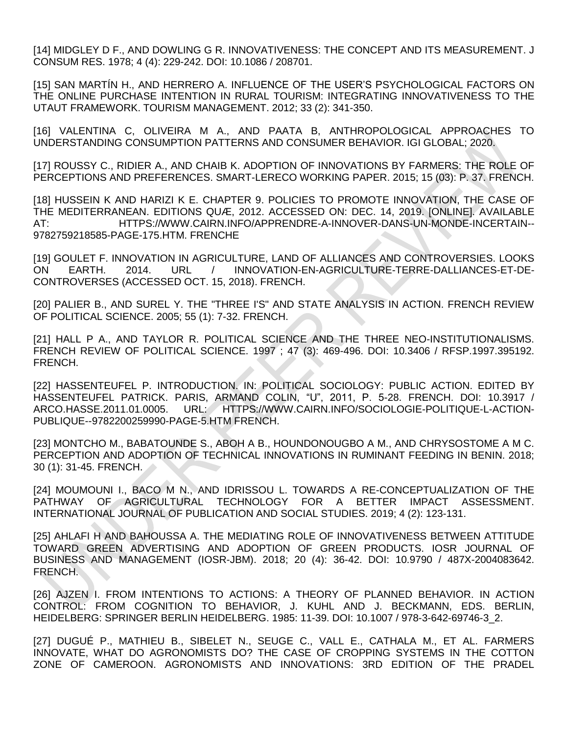[14] MIDGLEY D F., AND DOWLING G R. INNOVATIVENESS: THE CONCEPT AND ITS MEASUREMENT. J CONSUM RES. 1978; 4 (4): 229-242. DOI: 10.1086 / 208701.

[15] SAN MARTÍN H., AND HERRERO A. INFLUENCE OF THE USER'S PSYCHOLOGICAL FACTORS ON THE ONLINE PURCHASE INTENTION IN RURAL TOURISM: INTEGRATING INNOVATIVENESS TO THE UTAUT FRAMEWORK. TOURISM MANAGEMENT. 2012; 33 (2): 341-350.

[16] VALENTINA C, OLIVEIRA M A., AND PAATA B, ANTHROPOLOGICAL APPROACHES TO UNDERSTANDING CONSUMPTION PATTERNS AND CONSUMER BEHAVIOR. IGI GLOBAL; 2020.

[17] ROUSSY C., RIDIER A., AND CHAIB K. ADOPTION OF INNOVATIONS BY FARMERS: THE ROLE OF PERCEPTIONS AND PREFERENCES. SMART-LERECO WORKING PAPER. 2015; 15 (03): P. 37. FRENCH.

[18] HUSSEIN K AND HARIZI K E. CHAPTER 9. POLICIES TO PROMOTE INNOVATION, THE CASE OF THE MEDITERRANEAN. EDITIONS QUÆ, 2012. ACCESSED ON: DEC. 14, 2019. [ONLINE]. AVAILABLE AT: HTTPS://WWW.CAIRN.INFO/APPRENDRE-A-INNOVER-DANS-UN-MONDE-INCERTAIN-- 9782759218585-PAGE-175.HTM. FRENCHE

[19] GOULET F. INNOVATION IN AGRICULTURE, LAND OF ALLIANCES AND CONTROVERSIES. LOOKS ON EARTH. 2014. URL / INNOVATION-EN-AGRICULTURE-TERRE-DALLIANCES-ET-DE-CONTROVERSES (ACCESSED OCT. 15, 2018). FRENCH.

[20] PALIER B., AND SUREL Y. THE "THREE I'S" AND STATE ANALYSIS IN ACTION. FRENCH REVIEW OF POLITICAL SCIENCE. 2005; 55 (1): 7-32. FRENCH.

[21] HALL P A., AND TAYLOR R. POLITICAL SCIENCE AND THE THREE NEO-INSTITUTIONALISMS. FRENCH REVIEW OF POLITICAL SCIENCE. 1997 ; 47 (3): 469-496. DOI: 10.3406 / RFSP.1997.395192. FRENCH.

[22] HASSENTEUFEL P. INTRODUCTION. IN: POLITICAL SOCIOLOGY: PUBLIC ACTION. EDITED BY HASSENTEUFEL PATRICK. PARIS, ARMAND COLIN, "U", 2011, P. 5-28. FRENCH. DOI: 10.3917 / ARCO.HASSE.2011.01.0005. URL: HTTPS://WWW.CAIRN.INFO/SOCIOLOGIE-POLITIQUE-L-ACTION-PUBLIQUE--9782200259990-PAGE-5.HTM FRENCH.

[23] MONTCHO M., BABATOUNDE S., ABOH A B., HOUNDONOUGBO A M., AND CHRYSOSTOME A M C. PERCEPTION AND ADOPTION OF TECHNICAL INNOVATIONS IN RUMINANT FEEDING IN BENIN. 2018; 30 (1): 31-45. FRENCH.

[24] MOUMOUNI I., BACO M N., AND IDRISSOU L. TOWARDS A RE-CONCEPTUALIZATION OF THE PATHWAY OF AGRICULTURAL TECHNOLOGY FOR A BETTER IMPACT ASSESSMENT. INTERNATIONAL JOURNAL OF PUBLICATION AND SOCIAL STUDIES. 2019; 4 (2): 123-131.

[25] AHLAFI H AND BAHOUSSA A. THE MEDIATING ROLE OF INNOVATIVENESS BETWEEN ATTITUDE TOWARD GREEN ADVERTISING AND ADOPTION OF GREEN PRODUCTS. IOSR JOURNAL OF BUSINESS AND MANAGEMENT (IOSR-JBM). 2018; 20 (4): 36-42. DOI: 10.9790 / 487X-2004083642. FRENCH.

[26] AJZEN I. FROM INTENTIONS TO ACTIONS: A THEORY OF PLANNED BEHAVIOR. IN ACTION CONTROL: FROM COGNITION TO BEHAVIOR, J. KUHL AND J. BECKMANN, EDS. BERLIN, HEIDELBERG: SPRINGER BERLIN HEIDELBERG. 1985: 11-39. DOI: 10.1007 / 978-3-642-69746-3\_2.

[27] DUGUÉ P., MATHIEU B., SIBELET N., SEUGE C., VALL E., CATHALA M., ET AL. FARMERS INNOVATE, WHAT DO AGRONOMISTS DO? THE CASE OF CROPPING SYSTEMS IN THE COTTON ZONE OF CAMEROON. AGRONOMISTS AND INNOVATIONS: 3RD EDITION OF THE PRADEL